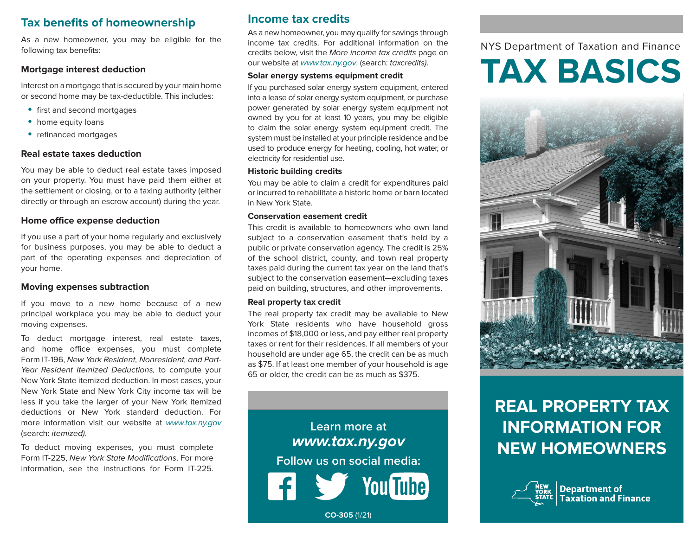# **Tax benefits of homeownership**

As a new homeowner, you may be eligible for the following tax benefits:

#### **Mortgage interest deduction**

Interest on a mortgage that is secured by your main home or second home may be tax-deductible. This includes:

- first and second mortgages
- home equity loans
- refinanced mortgages

#### **Real estate taxes deduction**

You may be able to deduct real estate taxes imposed on your property. You must have paid them either at the settlement or closing, or to a taxing authority (either directly or through an escrow account) during the year.

#### **Home office expense deduction**

If you use a part of your home regularly and exclusively for business purposes, you may be able to deduct a part of the operating expenses and depreciation of your home.

#### **Moving expenses subtraction**

If you move to a new home because of a new principal workplace you may be able to deduct your moving expenses.

To deduct mortgage interest, real estate taxes, and home office expenses, you must complete Form IT-196, New York Resident, Nonresident, and Part-Year Resident Itemized Deductions, to compute your New York State itemized deduction. In most cases, your New York State and New York City income tax will be less if you take the larger of your New York itemized deductions or New York standard deduction. For more information visit our website at www.tax.ny.gov (search: itemized).

To deduct moving expenses, you must complete Form IT-225, New York State Modifications. For more information, see the instructions for Form IT-225.

### **Income tax credits**

As a new homeowner, you may qualify for savings through income tax credits. For additional information on the credits below, visit the More income tax credits page on our website at www.tax.ny.gov. (search: taxcredits).

#### **Solar energy systems equipment credit**

If you purchased solar energy system equipment, entered into a lease of solar energy system equipment, or purchase power generated by solar energy system equipment not owned by you for at least 10 years, you may be eligible to claim the solar energy system equipment credit. The system must be installed at your principle residence and be used to produce energy for heating, cooling, hot water, or electricity for residential use.

#### **Historic building credits**

You may be able to claim a credit for expenditures paid or incurred to rehabilitate a historic home or barn located in New York State.

#### **Conservation easement credit**

This credit is available to homeowners who own land subject to a conservation easement that's held by a public or private conservation agency. The credit is 25% of the school district, county, and town real property taxes paid during the current tax year on the land that's subject to the conservation easement—excluding taxes paid on building, structures, and other improvements.

#### **Real property tax credit**

The real property tax credit may be available to New York State residents who have household gross incomes of \$18,000 or less, and pay either real property taxes or rent for their residences. If all members of your household are under age 65, the credit can be as much as \$75. If at least one member of your household is age 65 or older, the credit can be as much as \$375.



**CO-305** (1/21)

# NYS Department of Taxation and Finance

# **TAX BASICS**



# **REAL PROPERTY TAX INFORMATION FOR NEW HOMEOWNERS**